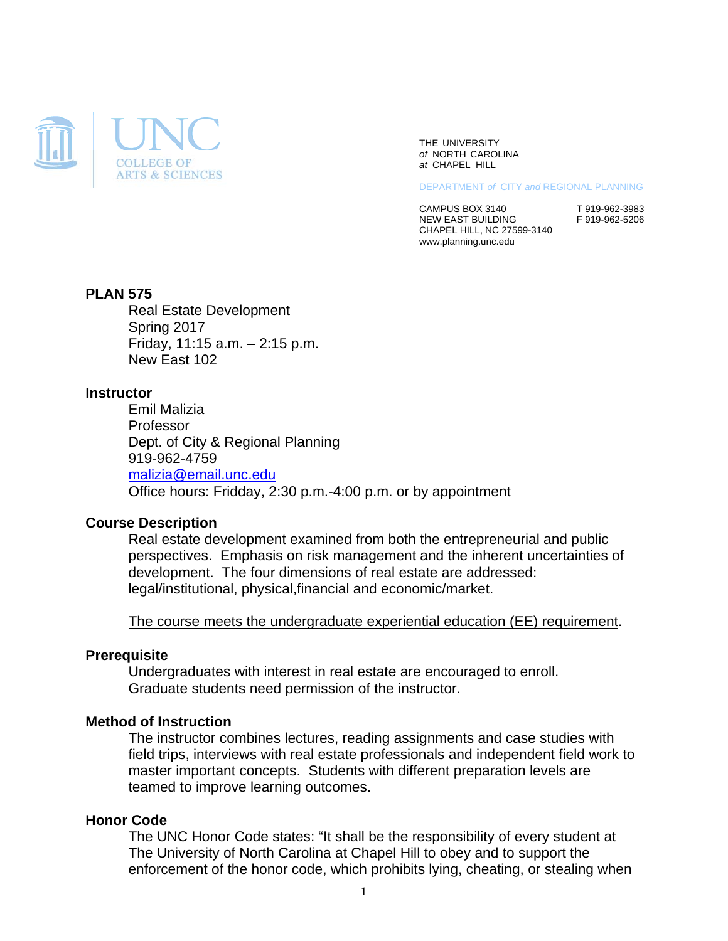

THE UNIVERSITY *of* NORTH CAROLINA *at* CHAPEL HILL

DEPARTMENT *of* CITY *and* REGIONAL PLANNING

CAMPUS BOX 3140<br>NEW EAST BUILDING<br>F 919-962-5206 NEW EAST BUILDING CHAPEL HILL, NC 27599-3140 www.planning.unc.edu

## **PLAN 575**

Real Estate Development Spring 2017 Friday, 11:15 a.m. – 2:15 p.m. New East 102

#### **Instructor**

Emil Malizia Professor Dept. of City & Regional Planning 919-962-4759 malizia@email.unc.edu Office hours: Fridday, 2:30 p.m.-4:00 p.m. or by appointment

#### **Course Description**

Real estate development examined from both the entrepreneurial and public perspectives. Emphasis on risk management and the inherent uncertainties of development. The four dimensions of real estate are addressed: legal/institutional, physical,financial and economic/market.

The course meets the undergraduate experiential education (EE) requirement.

## **Prerequisite**

Undergraduates with interest in real estate are encouraged to enroll. Graduate students need permission of the instructor.

### **Method of Instruction**

The instructor combines lectures, reading assignments and case studies with field trips, interviews with real estate professionals and independent field work to master important concepts. Students with different preparation levels are teamed to improve learning outcomes.

#### **Honor Code**

The UNC Honor Code states: "It shall be the responsibility of every student at The University of North Carolina at Chapel Hill to obey and to support the enforcement of the honor code, which prohibits lying, cheating, or stealing when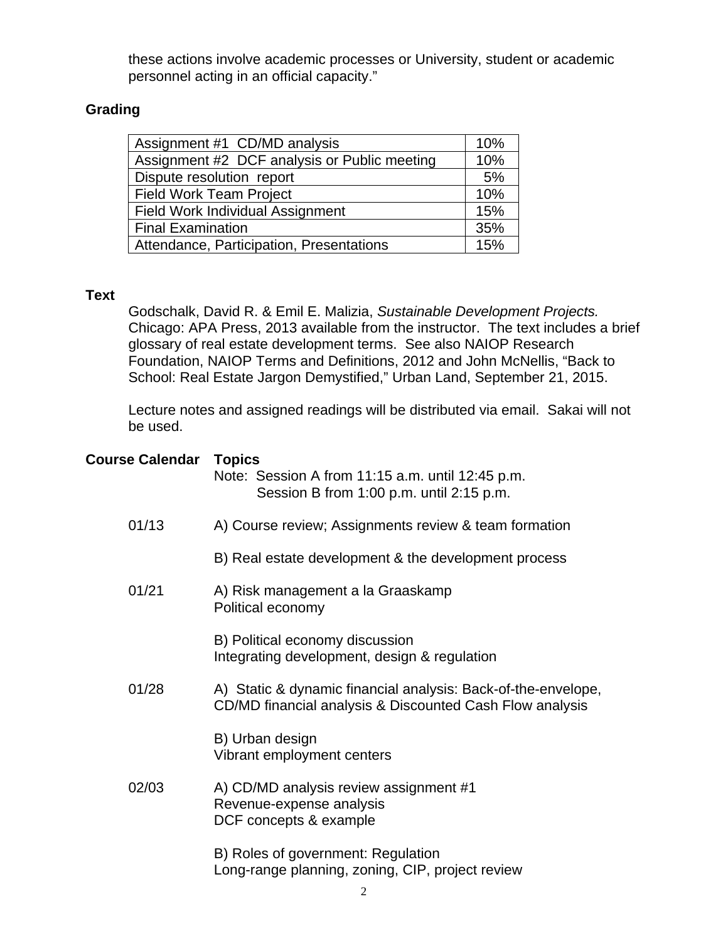these actions involve academic processes or University, student or academic personnel acting in an official capacity."

# **Grading**

| Assignment #1 CD/MD analysis                 | 10% |
|----------------------------------------------|-----|
| Assignment #2 DCF analysis or Public meeting | 10% |
| Dispute resolution report                    |     |
| <b>Field Work Team Project</b>               |     |
| <b>Field Work Individual Assignment</b>      |     |
| <b>Final Examination</b>                     |     |
| Attendance, Participation, Presentations     |     |

# **Text**

Godschalk, David R. & Emil E. Malizia, *Sustainable Development Projects.* Chicago: APA Press, 2013 available from the instructor. The text includes a brief glossary of real estate development terms. See also NAIOP Research Foundation, NAIOP Terms and Definitions, 2012 and John McNellis, "Back to School: Real Estate Jargon Demystified," Urban Land, September 21, 2015.

Lecture notes and assigned readings will be distributed via email. Sakai will not be used.

| <b>Course Calendar</b> | <b>Topics</b><br>Note: Session A from 11:15 a.m. until 12:45 p.m.<br>Session B from 1:00 p.m. until 2:15 p.m.             |
|------------------------|---------------------------------------------------------------------------------------------------------------------------|
| 01/13                  | A) Course review; Assignments review & team formation                                                                     |
|                        | B) Real estate development & the development process                                                                      |
| 01/21                  | A) Risk management a la Graaskamp<br>Political economy                                                                    |
|                        | B) Political economy discussion<br>Integrating development, design & regulation                                           |
| 01/28                  | A) Static & dynamic financial analysis: Back-of-the-envelope,<br>CD/MD financial analysis & Discounted Cash Flow analysis |
|                        | B) Urban design<br>Vibrant employment centers                                                                             |
| 02/03                  | A) CD/MD analysis review assignment #1<br>Revenue-expense analysis<br>DCF concepts & example                              |
|                        | B) Roles of government: Regulation<br>Long-range planning, zoning, CIP, project review                                    |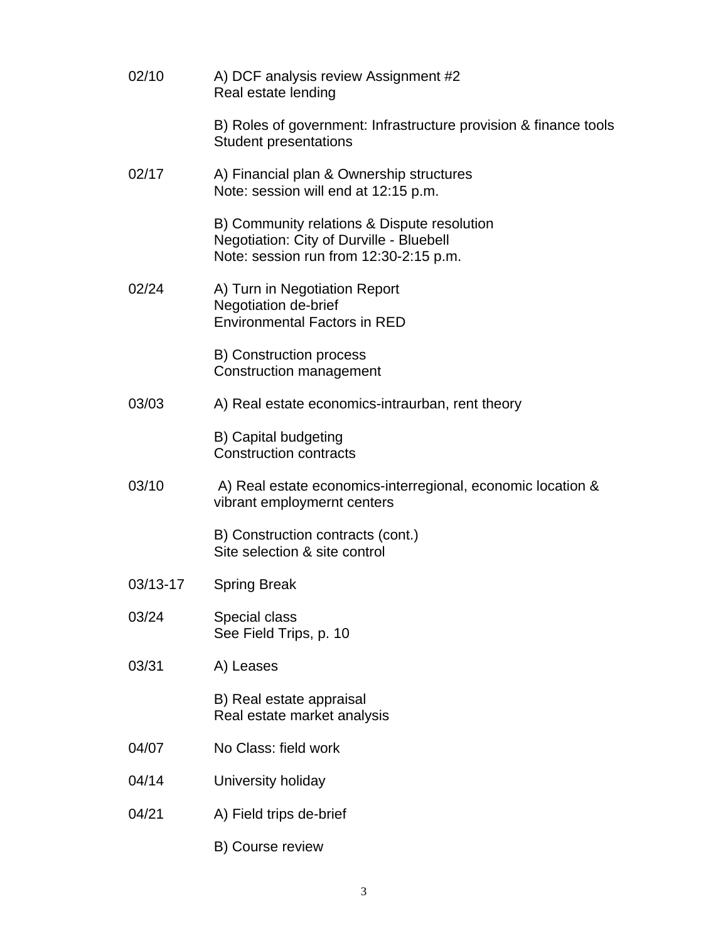| 02/10    | A) DCF analysis review Assignment #2<br>Real estate lending                                                                       |
|----------|-----------------------------------------------------------------------------------------------------------------------------------|
|          | B) Roles of government: Infrastructure provision & finance tools<br><b>Student presentations</b>                                  |
| 02/17    | A) Financial plan & Ownership structures<br>Note: session will end at 12:15 p.m.                                                  |
|          | B) Community relations & Dispute resolution<br>Negotiation: City of Durville - Bluebell<br>Note: session run from 12:30-2:15 p.m. |
| 02/24    | A) Turn in Negotiation Report<br>Negotiation de-brief<br><b>Environmental Factors in RED</b>                                      |
|          | <b>B) Construction process</b><br><b>Construction management</b>                                                                  |
| 03/03    | A) Real estate economics-intraurban, rent theory                                                                                  |
|          | B) Capital budgeting<br><b>Construction contracts</b>                                                                             |
| 03/10    | A) Real estate economics-interregional, economic location &<br>vibrant employmernt centers                                        |
|          | B) Construction contracts (cont.)<br>Site selection & site control                                                                |
| 03/13-17 | <b>Spring Break</b>                                                                                                               |
| 03/24    | Special class<br>See Field Trips, p. 10                                                                                           |
| 03/31    | A) Leases                                                                                                                         |
|          | B) Real estate appraisal<br>Real estate market analysis                                                                           |
| 04/07    | No Class: field work                                                                                                              |
| 04/14    | University holiday                                                                                                                |
| 04/21    | A) Field trips de-brief                                                                                                           |
|          | B) Course review                                                                                                                  |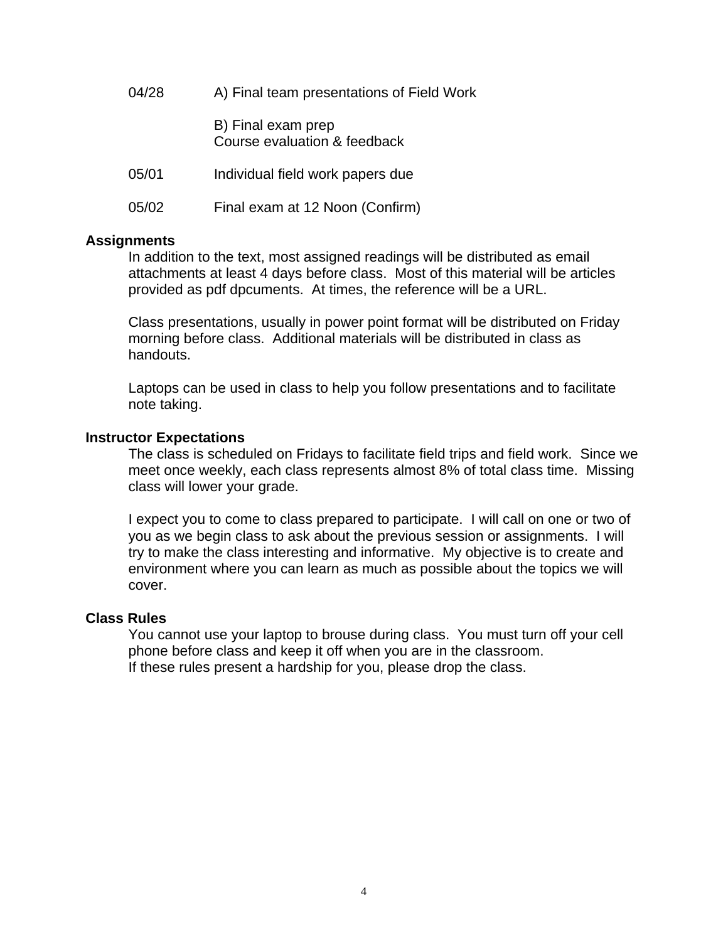04/28 A) Final team presentations of Field Work B) Final exam prep Course evaluation & feedback 05/01 Individual field work papers due 05/02 Final exam at 12 Noon (Confirm)

## **Assignments**

In addition to the text, most assigned readings will be distributed as email attachments at least 4 days before class. Most of this material will be articles provided as pdf dpcuments. At times, the reference will be a URL.

Class presentations, usually in power point format will be distributed on Friday morning before class. Additional materials will be distributed in class as handouts.

Laptops can be used in class to help you follow presentations and to facilitate note taking.

## **Instructor Expectations**

The class is scheduled on Fridays to facilitate field trips and field work. Since we meet once weekly, each class represents almost 8% of total class time. Missing class will lower your grade.

I expect you to come to class prepared to participate. I will call on one or two of you as we begin class to ask about the previous session or assignments. I will try to make the class interesting and informative. My objective is to create and environment where you can learn as much as possible about the topics we will cover.

#### **Class Rules**

You cannot use your laptop to brouse during class. You must turn off your cell phone before class and keep it off when you are in the classroom. If these rules present a hardship for you, please drop the class.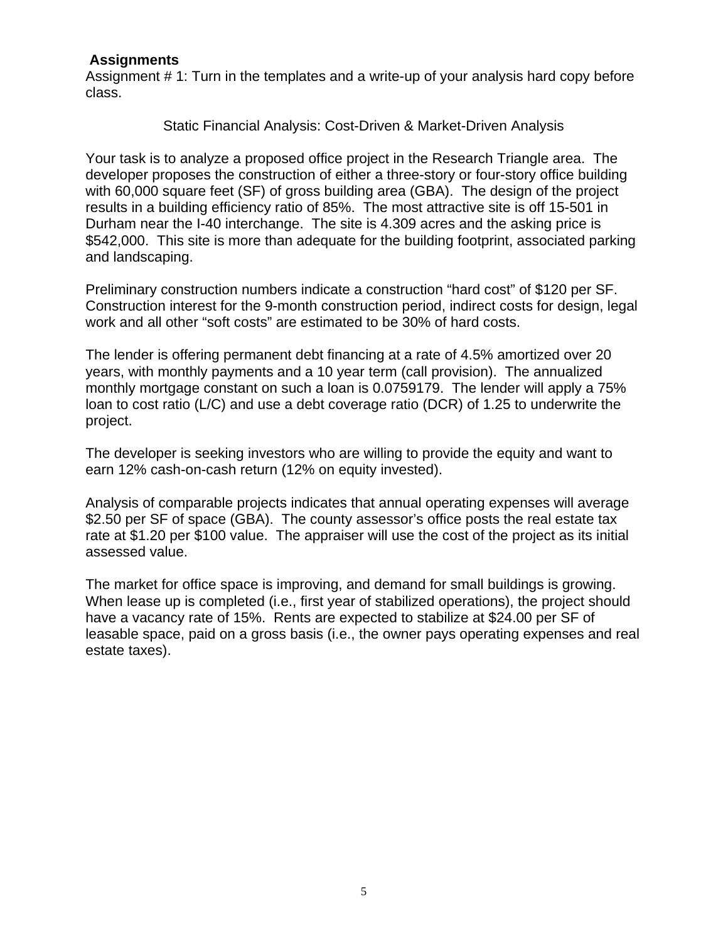# **Assignments**

Assignment # 1: Turn in the templates and a write-up of your analysis hard copy before class.

Static Financial Analysis: Cost-Driven & Market-Driven Analysis

Your task is to analyze a proposed office project in the Research Triangle area. The developer proposes the construction of either a three-story or four-story office building with 60,000 square feet (SF) of gross building area (GBA). The design of the project results in a building efficiency ratio of 85%. The most attractive site is off 15-501 in Durham near the I-40 interchange. The site is 4.309 acres and the asking price is \$542,000. This site is more than adequate for the building footprint, associated parking and landscaping.

Preliminary construction numbers indicate a construction "hard cost" of \$120 per SF. Construction interest for the 9-month construction period, indirect costs for design, legal work and all other "soft costs" are estimated to be 30% of hard costs.

The lender is offering permanent debt financing at a rate of 4.5% amortized over 20 years, with monthly payments and a 10 year term (call provision). The annualized monthly mortgage constant on such a loan is 0.0759179. The lender will apply a 75% loan to cost ratio (L/C) and use a debt coverage ratio (DCR) of 1.25 to underwrite the project.

The developer is seeking investors who are willing to provide the equity and want to earn 12% cash-on-cash return (12% on equity invested).

Analysis of comparable projects indicates that annual operating expenses will average \$2.50 per SF of space (GBA). The county assessor's office posts the real estate tax rate at \$1.20 per \$100 value. The appraiser will use the cost of the project as its initial assessed value.

The market for office space is improving, and demand for small buildings is growing. When lease up is completed (i.e., first year of stabilized operations), the project should have a vacancy rate of 15%. Rents are expected to stabilize at \$24.00 per SF of leasable space, paid on a gross basis (i.e., the owner pays operating expenses and real estate taxes).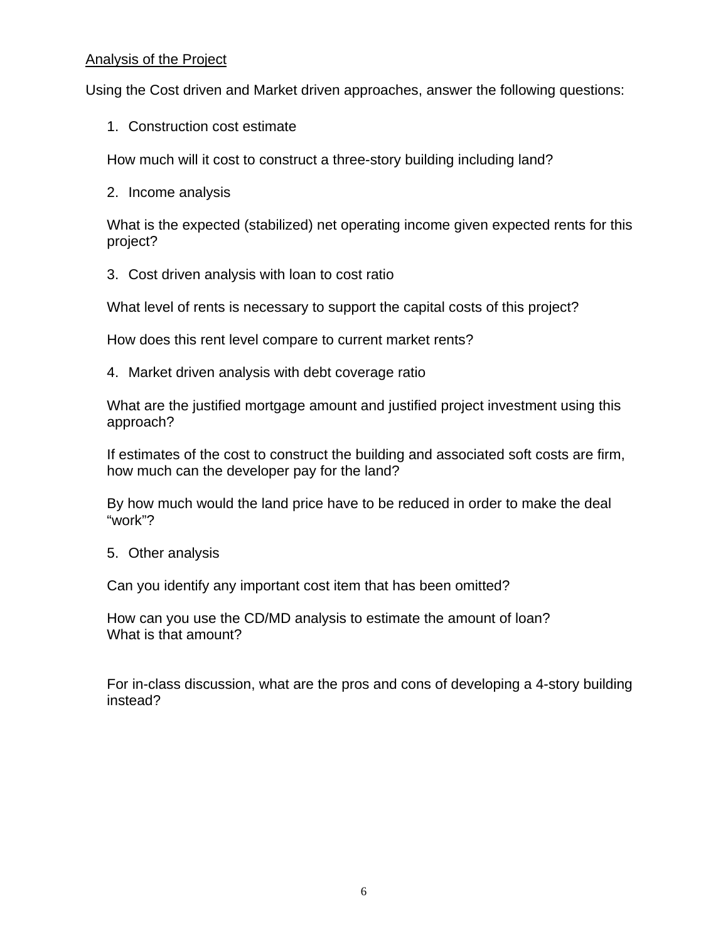# Analysis of the Project

Using the Cost driven and Market driven approaches, answer the following questions:

1. Construction cost estimate

How much will it cost to construct a three-story building including land?

2. Income analysis

What is the expected (stabilized) net operating income given expected rents for this project?

3. Cost driven analysis with loan to cost ratio

What level of rents is necessary to support the capital costs of this project?

How does this rent level compare to current market rents?

4. Market driven analysis with debt coverage ratio

What are the justified mortgage amount and justified project investment using this approach?

If estimates of the cost to construct the building and associated soft costs are firm, how much can the developer pay for the land?

By how much would the land price have to be reduced in order to make the deal "work"?

5. Other analysis

Can you identify any important cost item that has been omitted?

How can you use the CD/MD analysis to estimate the amount of loan? What is that amount?

For in-class discussion, what are the pros and cons of developing a 4-story building instead?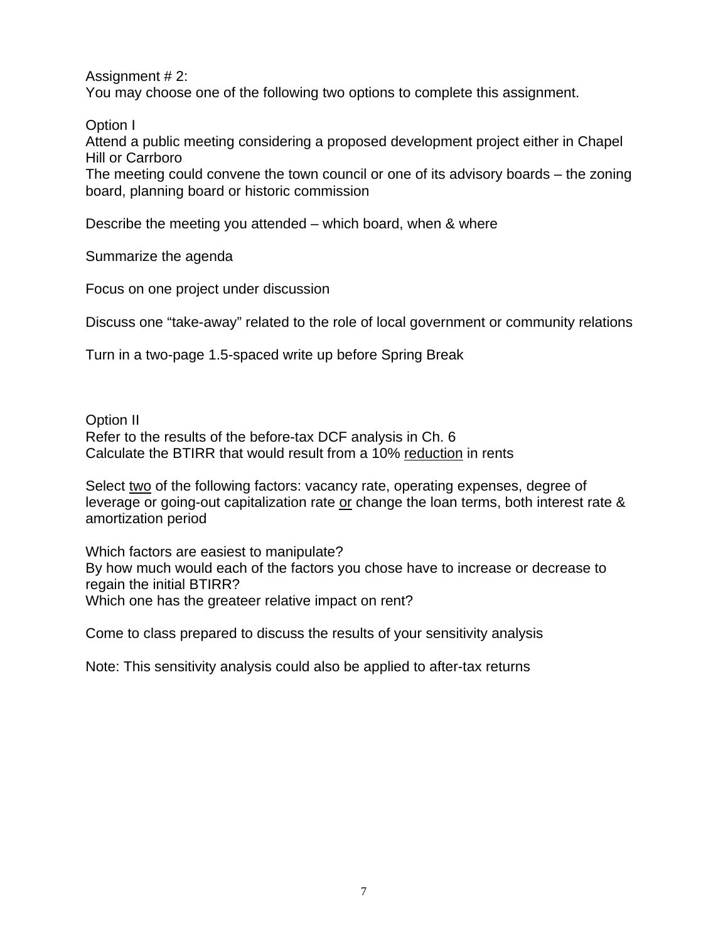Assignment # 2: You may choose one of the following two options to complete this assignment.

Option I

Attend a public meeting considering a proposed development project either in Chapel Hill or Carrboro

The meeting could convene the town council or one of its advisory boards – the zoning board, planning board or historic commission

Describe the meeting you attended – which board, when & where

Summarize the agenda

Focus on one project under discussion

Discuss one "take-away" related to the role of local government or community relations

Turn in a two-page 1.5-spaced write up before Spring Break

Option II Refer to the results of the before-tax DCF analysis in Ch. 6 Calculate the BTIRR that would result from a 10% reduction in rents

Select two of the following factors: vacancy rate, operating expenses, degree of leverage or going-out capitalization rate or change the loan terms, both interest rate & amortization period

Which factors are easiest to manipulate? By how much would each of the factors you chose have to increase or decrease to regain the initial BTIRR? Which one has the greateer relative impact on rent?

Come to class prepared to discuss the results of your sensitivity analysis

Note: This sensitivity analysis could also be applied to after-tax returns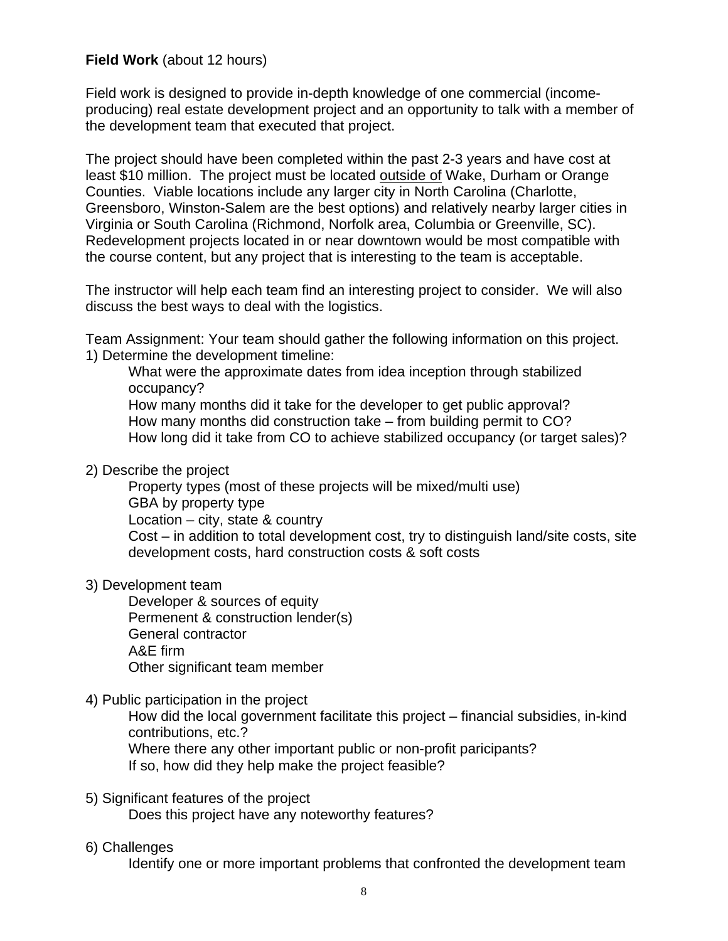# **Field Work** (about 12 hours)

Field work is designed to provide in-depth knowledge of one commercial (incomeproducing) real estate development project and an opportunity to talk with a member of the development team that executed that project.

The project should have been completed within the past 2-3 years and have cost at least \$10 million. The project must be located outside of Wake, Durham or Orange Counties. Viable locations include any larger city in North Carolina (Charlotte, Greensboro, Winston-Salem are the best options) and relatively nearby larger cities in Virginia or South Carolina (Richmond, Norfolk area, Columbia or Greenville, SC). Redevelopment projects located in or near downtown would be most compatible with the course content, but any project that is interesting to the team is acceptable.

The instructor will help each team find an interesting project to consider. We will also discuss the best ways to deal with the logistics.

Team Assignment: Your team should gather the following information on this project. 1) Determine the development timeline:

What were the approximate dates from idea inception through stabilized occupancy? How many months did it take for the developer to get public approval? How many months did construction take – from building permit to CO?

- How long did it take from CO to achieve stabilized occupancy (or target sales)?
- 2) Describe the project

Property types (most of these projects will be mixed/multi use) GBA by property type Location – city, state & country Cost – in addition to total development cost, try to distinguish land/site costs, site development costs, hard construction costs & soft costs

3) Development team

 Developer & sources of equity Permenent & construction lender(s) General contractor A&E firm Other significant team member

4) Public participation in the project

How did the local government facilitate this project – financial subsidies, in-kind contributions, etc.?

Where there any other important public or non-profit paricipants? If so, how did they help make the project feasible?

# 5) Significant features of the project

Does this project have any noteworthy features?

# 6) Challenges

Identify one or more important problems that confronted the development team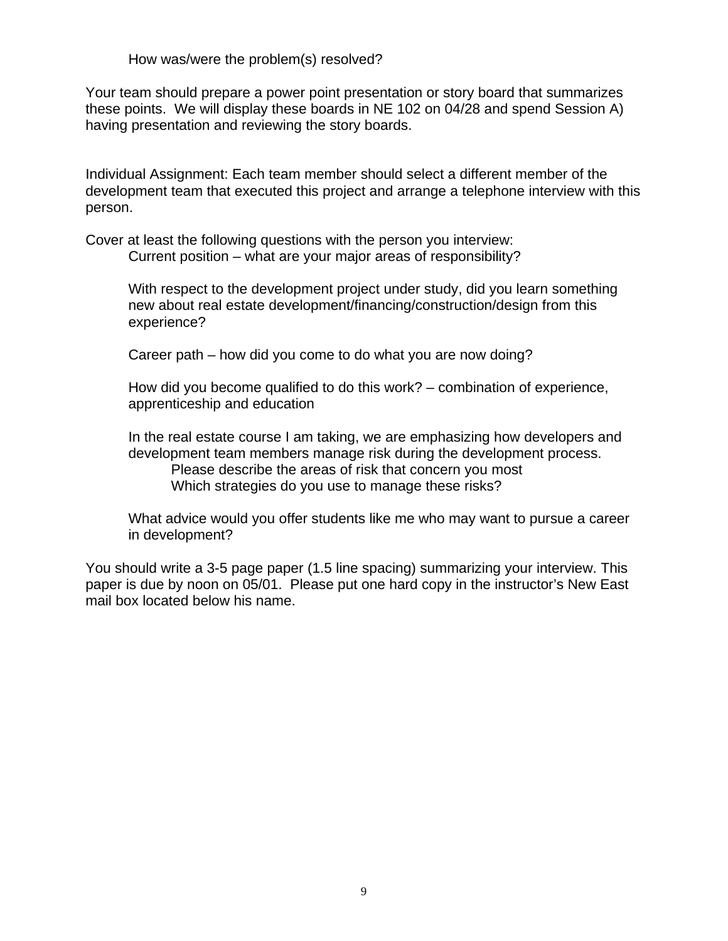How was/were the problem(s) resolved?

Your team should prepare a power point presentation or story board that summarizes these points. We will display these boards in NE 102 on 04/28 and spend Session A) having presentation and reviewing the story boards.

Individual Assignment: Each team member should select a different member of the development team that executed this project and arrange a telephone interview with this person.

Cover at least the following questions with the person you interview: Current position – what are your major areas of responsibility?

With respect to the development project under study, did you learn something new about real estate development/financing/construction/design from this experience?

Career path – how did you come to do what you are now doing?

How did you become qualified to do this work? – combination of experience, apprenticeship and education

In the real estate course I am taking, we are emphasizing how developers and development team members manage risk during the development process. Please describe the areas of risk that concern you most Which strategies do you use to manage these risks?

What advice would you offer students like me who may want to pursue a career in development?

You should write a 3-5 page paper (1.5 line spacing) summarizing your interview. This paper is due by noon on 05/01. Please put one hard copy in the instructor's New East mail box located below his name.